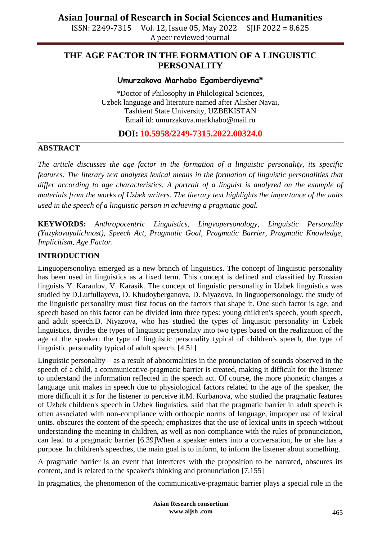ISSN: 2249-7315 Vol. 12, Issue 05, May 2022 SJIF 2022 = 8.625 A peer reviewed journal

### **THE AGE FACTOR IN THE FORMATION OF A LINGUISTIC PERSONALITY**

### **Umurzakova Marhabo Egamberdiyevna\***

\*Doctor of Philosophy in Philological Sciences, Uzbek language and literature named after Alisher Navai, Tashkent State University, UZBEKISTAN Email id: [umurzakova.markhabo@mail.ru](mailto:umurzakova.markhabo@mail.ru)

### **DOI: 10.5958/2249-7315.2022.00324.0**

#### **ABSTRACT**

*The article discusses the age factor in the formation of a linguistic personality, its specific features. The literary text analyzes lexical means in the formation of linguistic personalities that differ according to age characteristics. A portrait of a linguist is analyzed on the example of materials from the works of Uzbek writers. The literary text highlights the importance of the units used in the speech of a linguistic person in achieving a pragmatic goal.*

**KEYWORDS:** *Anthropocentric Linguistics, Lingvopersonology, Linguistic Personality (Yazykovayalichnost), Speech Act, Pragmatic Goal, Pragmatic Barrier, Pragmatic Knowledge, Implicitism, Age Factor.*

#### **INTRODUCTION**

Linguopersonoliya emerged as a new branch of linguistics. The concept of linguistic personality has been used in linguistics as a fixed term. This concept is defined and classified by Russian linguists Y. Karaulov, V. Karasik. The concept of linguistic personality in Uzbek linguistics was studied by D.Lutfullayeva, D. Khudoyberganova, D. Niyazova. In linguopersonology, the study of the linguistic personality must first focus on the factors that shape it. One such factor is age, and speech based on this factor can be divided into three types: young children's speech, youth speech, and adult speech.D. Niyazova, who has studied the types of linguistic personality in Uzbek linguistics, divides the types of linguistic personality into two types based on the realization of the age of the speaker: the type of linguistic personality typical of children's speech, the type of linguistic personality typical of adult speech. [4.51]

Linguistic personality – as a result of abnormalities in the pronunciation of sounds observed in the speech of a child, a communicative-pragmatic barrier is created, making it difficult for the listener to understand the information reflected in the speech act. Of course, the more phonetic changes a language unit makes in speech due to physiological factors related to the age of the speaker, the more difficult it is for the listener to perceive it.M. Kurbanova, who studied the pragmatic features of Uzbek children's speech in Uzbek linguistics, said that the pragmatic barrier in adult speech is often associated with non-compliance with orthoepic norms of language, improper use of lexical units. obscures the content of the speech; emphasizes that the use of lexical units in speech without understanding the meaning in children, as well as non-compliance with the rules of pronunciation, can lead to a pragmatic barrier [6.39]When a speaker enters into a conversation, he or she has a purpose. In children's speeches, the main goal is to inform, to inform the listener about something.

A pragmatic barrier is an event that interferes with the proposition to be narrated, obscures its content, and is related to the speaker's thinking and pronunciation [7.155]

In pragmatics, the phenomenon of the communicative-pragmatic barrier plays a special role in the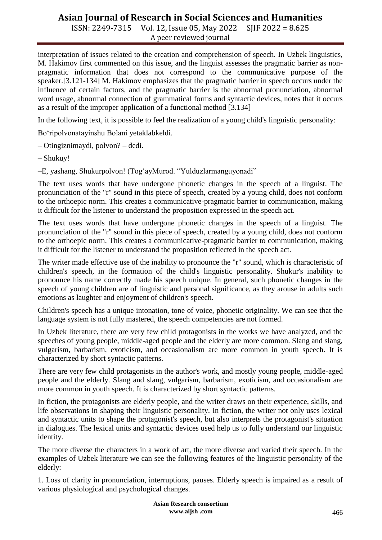# **Asian Journal of Research in Social Sciences and Humanities**

ISSN: 2249-7315 Vol. 12, Issue 05, May 2022 SJIF 2022 = 8.625 A peer reviewed journal

interpretation of issues related to the creation and comprehension of speech. In Uzbek linguistics, M. Hakimov first commented on this issue, and the linguist assesses the pragmatic barrier as nonpragmatic information that does not correspond to the communicative purpose of the speaker.[3.121-134] M. Hakimov emphasizes that the pragmatic barrier in speech occurs under the influence of certain factors, and the pragmatic barrier is the abnormal pronunciation, abnormal word usage, abnormal connection of grammatical forms and syntactic devices, notes that it occurs as a result of the improper application of a functional method [3.134]

In the following text, it is possible to feel the realization of a young child's linguistic personality:

Bo"ripolvonatayinshu Bolani yetaklabkeldi.

– Otingiznimaydi, polvon? – dedi.

– Shukuy!

–E, yashang, Shukurpolvon! (Tog"ayMurod. "Yulduzlarmanguyonadi"

The text uses words that have undergone phonetic changes in the speech of a linguist. The pronunciation of the "r" sound in this piece of speech, created by a young child, does not conform to the orthoepic norm. This creates a communicative-pragmatic barrier to communication, making it difficult for the listener to understand the proposition expressed in the speech act.

The text uses words that have undergone phonetic changes in the speech of a linguist. The pronunciation of the "r" sound in this piece of speech, created by a young child, does not conform to the orthoepic norm. This creates a communicative-pragmatic barrier to communication, making it difficult for the listener to understand the proposition reflected in the speech act.

The writer made effective use of the inability to pronounce the "r" sound, which is characteristic of children's speech, in the formation of the child's linguistic personality. Shukur's inability to pronounce his name correctly made his speech unique. In general, such phonetic changes in the speech of young children are of linguistic and personal significance, as they arouse in adults such emotions as laughter and enjoyment of children's speech.

Children's speech has a unique intonation, tone of voice, phonetic originality. We can see that the language system is not fully mastered, the speech competencies are not formed.

In Uzbek literature, there are very few child protagonists in the works we have analyzed, and the speeches of young people, middle-aged people and the elderly are more common. Slang and slang, vulgarism, barbarism, exoticism, and occasionalism are more common in youth speech. It is characterized by short syntactic patterns.

There are very few child protagonists in the author's work, and mostly young people, middle-aged people and the elderly. Slang and slang, vulgarism, barbarism, exoticism, and occasionalism are more common in youth speech. It is characterized by short syntactic patterns.

In fiction, the protagonists are elderly people, and the writer draws on their experience, skills, and life observations in shaping their linguistic personality. In fiction, the writer not only uses lexical and syntactic units to shape the protagonist's speech, but also interprets the protagonist's situation in dialogues. The lexical units and syntactic devices used help us to fully understand our linguistic identity.

The more diverse the characters in a work of art, the more diverse and varied their speech. In the examples of Uzbek literature we can see the following features of the linguistic personality of the elderly:

1. Loss of clarity in pronunciation, interruptions, pauses. Elderly speech is impaired as a result of various physiological and psychological changes.

> **Asian Research consortium www.aijsh .com**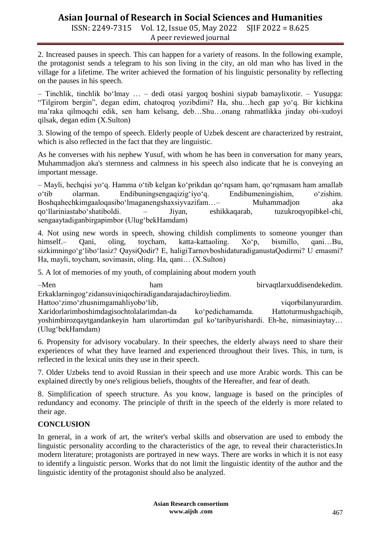## **Asian Journal of Research in Social Sciences and Humanities**

ISSN: 2249-7315 Vol. 12, Issue 05, May 2022 SJIF 2022 = 8.625 A peer reviewed journal

2. Increased pauses in speech. This can happen for a variety of reasons. In the following example, the protagonist sends a telegram to his son living in the city, an old man who has lived in the village for a lifetime. The writer achieved the formation of his linguistic personality by reflecting on the pauses in his speech.

– Tinchlik, tinchlik bo"lmay … – dedi otasi yargoq boshini siypab bamaylixotir. – Yusupga: "Tilgirom bergin", degan edim, chatoqroq yozibdimi? Ha, shu…hech gap yo"q. Bir kichkina ma"raka qilmoqchi edik, sen ham kelsang, deb…Shu…onang rahmatlikka jinday obi-xudoyi qilsak, degan edim (X.Sulton)

3. Slowing of the tempo of speech. Elderly people of Uzbek descent are characterized by restraint, which is also reflected in the fact that they are linguistic.

As he converses with his nephew Yusuf, with whom he has been in conversation for many years, Muhammadjon aka's sternness and calmness in his speech also indicate that he is conveying an important message.

– Mayli, hechqisi yo"q. Hamma o"tib kelgan ko"prikdan qo"rqsam ham, qo"rqmasam ham amallab o"tib olarman. Endibuningsengaqizig"iyo"q. Endibumeningishim, o"zishim. Boshqahechkimgaaloqasibo'lmaganengshaxsiyvazifam…– Muhammadjon aka qo"llariniastabo"shatiboldi. – Jiyan, eshikkaqarab, tuzukroqyopibkel-chi, sengaaytadiganbirgapimbor (Ulug"bekHamdam)

4. Not using new words in speech, showing childish compliments to someone younger than himself.– Qani, oling, toycham, katta-kattaoling. Xoʻp, bismillo, qani...Bu, sizkimningo'g'libo'lasiz? QaysiQodir? E, haligiTarnovboshidaturadiganustaQodirmi? U emasmi? Ha, mayli, toycham, sovimasin, oling. Ha, qani… (X.Sulton)

5. A lot of memories of my youth, of complaining about modern youth

–Men ham birvaqtlarxuddisendekedim. Erkaklarningog"zidansuviniqochiradigandarajadachiroyliedim. Hattoo'zimo'zhusnimgamahliyobo'lib, viqorbilanyurardim. Xaridorlarimboshimdagisochtolalarimdan-da ko"pedichamamda. Hattoturmushgachiqib, yoshimbirozqaytgandankeyin ham ularortimdan gul ko"taribyurishardi. Eh-he, nimasiniaytay… (Ulug"bekHamdam)

6. Propensity for advisory vocabulary. In their speeches, the elderly always need to share their experiences of what they have learned and experienced throughout their lives. This, in turn, is reflected in the lexical units they use in their speech.

7. Older Uzbeks tend to avoid Russian in their speech and use more Arabic words. This can be explained directly by one's religious beliefs, thoughts of the Hereafter, and fear of death.

8. Simplification of speech structure. As you know, language is based on the principles of redundancy and economy. The principle of thrift in the speech of the elderly is more related to their age.

### **CONCLUSION**

In general, in a work of art, the writer's verbal skills and observation are used to embody the linguistic personality according to the characteristics of the age, to reveal their characteristics.In modern literature; protagonists are portrayed in new ways. There are works in which it is not easy to identify a linguistic person. Works that do not limit the linguistic identity of the author and the linguistic identity of the protagonist should also be analyzed.